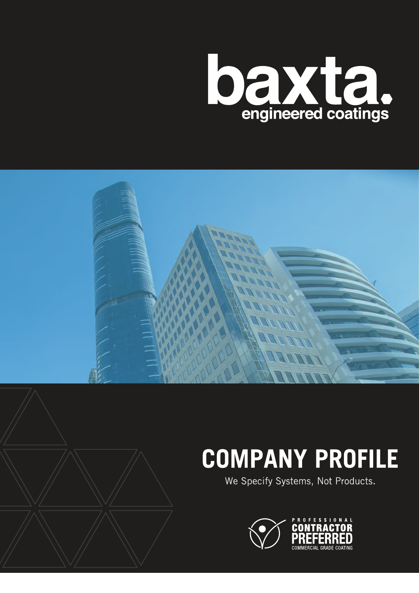



# **COMPANY PROFILE**

We Specify Systems, Not Products.

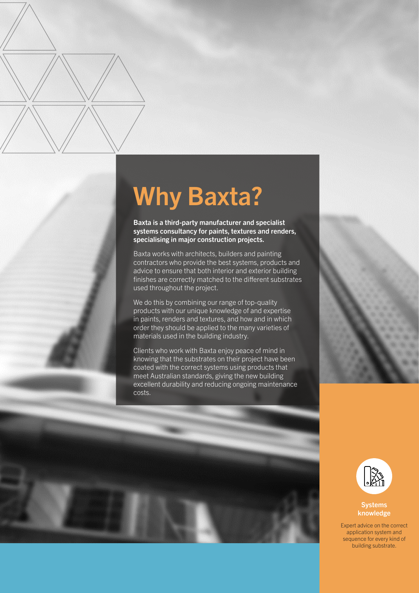# Why Baxta?

Baxta is a third-party manufacturer and specialist systems consultancy for paints, textures and renders, specialising in major construction projects.

Baxta works with architects, builders and painting contractors who provide the best systems, products and advice to ensure that both interior and exterior building finishes are correctly matched to the different substrates used throughout the project.

We do this by combining our range of top-quality products with our unique knowledge of and expertise in paints, renders and textures, and how and in which order they should be applied to the many varieties of materials used in the building industry.

Clients who work with Baxta enjoy peace of mind in knowing that the substrates on their project have been coated with the correct systems using products that meet Australian standards, giving the new building excellent durability and reducing ongoing maintenance costs.







### Systems knowledge

Expert advice on the correct application system and sequence for every kind of building substrate.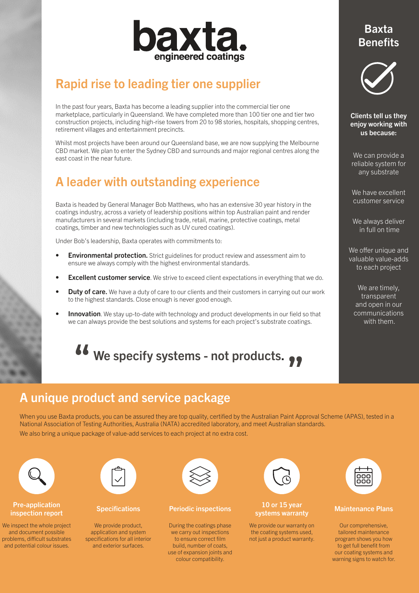

# Rapid rise to leading tier one supplier

In the past four years, Baxta has become a leading supplier into the commercial tier one marketplace, particularly in Queensland. We have completed more than 100 tier one and tier two construction projects, including high-rise towers from 20 to 98 stories, hospitals, shopping centres, retirement villages and entertainment precincts.

Whilst most projects have been around our Queensland base, we are now supplying the Melbourne CBD market. We plan to enter the Sydney CBD and surrounds and major regional centres along the east coast in the near future.

# A leader with outstanding experience

Baxta is headed by General Manager Bob Matthews, who has an extensive 30 year history in the coatings industry, across a variety of leadership positions within top Australian paint and render manufacturers in several markets (including trade, retail, marine, protective coatings, metal coatings, timber and new technologies such as UV cured coatings).

Under Bob's leadership, Baxta operates with commitments to:

- **Environmental protection.** Strict guidelines for product review and assessment aim to ensure we always comply with the highest environmental standards.
- **Excellent customer service**. We strive to exceed client expectations in everything that we do.
- **Duty of care.** We have a duty of care to our clients and their customers in carrying out our work to the highest standards. Close enough is never good enough.
- **Innovation**. We stay up-to-date with technology and product developments in our field so that we can always provide the best solutions and systems for each project's substrate coatings.

# **66** We specify systems - not products.

# A unique product and service package

When you use Baxta products, you can be assured they are top quality, certified by the Australian Paint Approval Scheme (APAS), tested in a National Association of Testing Authorities, Australia (NATA) accredited laboratory, and meet Australian standards. We also bring a unique package of value-add services to each project at no extra cost.



### Pre-application Pre-application **Specification** Specifications Periodic inspections 10 or 15 year<br>inspection report systems warrant

We inspect the whole project and document possible problems, difficult substrates and potential colour issues.



We provide product, application and system specifications for all interior and exterior surfaces.



During the coatings phase we carry out inspections to ensure correct film build, number of coats, use of expansion joints and colour compatibility.



# 10 or 15 year<br>systems warranty Maintenance Plans

We provide our warranty on the coating systems used, not just a product warranty.



Our comprehensive, tailored maintenance program shows you how to get full benefit from our coating systems and warning signs to watch for.

## Baxta **Benefits**



Clients tell us they enjoy working with us because:

We can provide a reliable system for any substrate

We have excellent customer service

We always deliver in full on time

We offer unique and valuable value-adds to each project

We are timely, transparent and open in our communications with them.